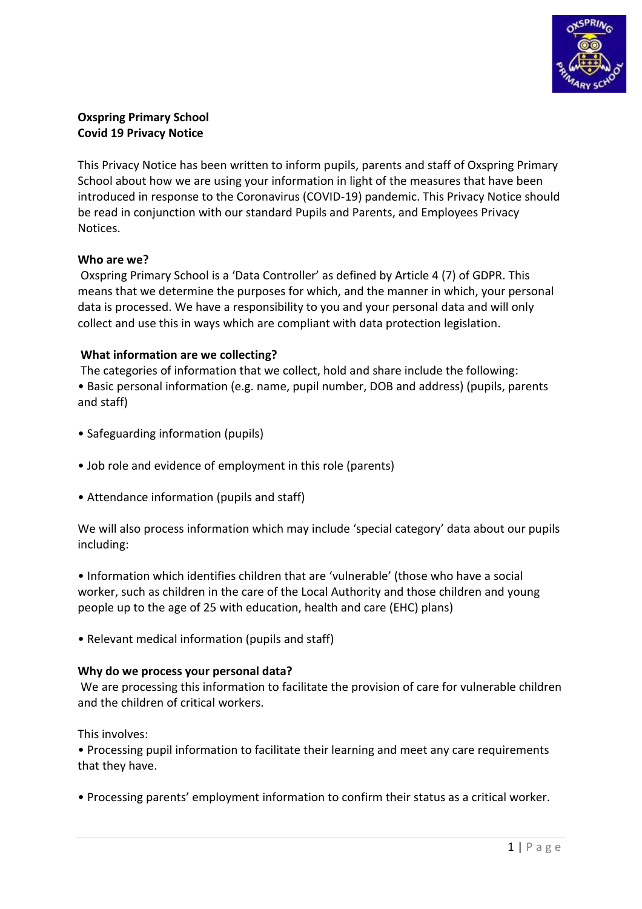

# **Oxspring Primary School Covid 19 Privacy Notice**

This Privacy Notice has been written to inform pupils, parents and staff of Oxspring Primary School about how we are using your information in light of the measures that have been introduced in response to the Coronavirus (COVID-19) pandemic. This Privacy Notice should be read in conjunction with our standard Pupils and Parents, and Employees Privacy Notices.

## **Who are we?**

Oxspring Primary School is a 'Data Controller' as defined by Article 4 (7) of GDPR. This means that we determine the purposes for which, and the manner in which, your personal data is processed. We have a responsibility to you and your personal data and will only collect and use this in ways which are compliant with data protection legislation.

## **What information are we collecting?**

The categories of information that we collect, hold and share include the following: • Basic personal information (e.g. name, pupil number, DOB and address) (pupils, parents and staff)

- Safeguarding information (pupils)
- Job role and evidence of employment in this role (parents)
- Attendance information (pupils and staff)

We will also process information which may include 'special category' data about our pupils including:

• Information which identifies children that are 'vulnerable' (those who have a social worker, such as children in the care of the Local Authority and those children and young people up to the age of 25 with education, health and care (EHC) plans)

• Relevant medical information (pupils and staff)

### **Why do we process your personal data?**

We are processing this information to facilitate the provision of care for vulnerable children and the children of critical workers.

This involves:

• Processing pupil information to facilitate their learning and meet any care requirements that they have.

• Processing parents' employment information to confirm their status as a critical worker.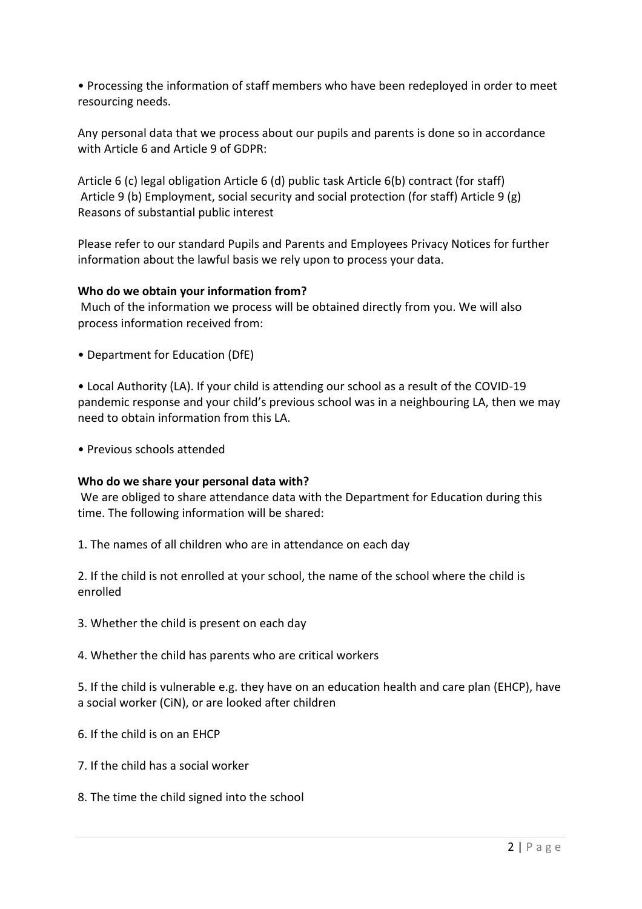• Processing the information of staff members who have been redeployed in order to meet resourcing needs.

Any personal data that we process about our pupils and parents is done so in accordance with Article 6 and Article 9 of GDPR:

Article 6 (c) legal obligation Article 6 (d) public task Article 6(b) contract (for staff) Article 9 (b) Employment, social security and social protection (for staff) Article 9 (g) Reasons of substantial public interest

Please refer to our standard Pupils and Parents and Employees Privacy Notices for further information about the lawful basis we rely upon to process your data.

## **Who do we obtain your information from?**

Much of the information we process will be obtained directly from you. We will also process information received from:

• Department for Education (DfE)

• Local Authority (LA). If your child is attending our school as a result of the COVID-19 pandemic response and your child's previous school was in a neighbouring LA, then we may need to obtain information from this LA.

• Previous schools attended

### **Who do we share your personal data with?**

We are obliged to share attendance data with the Department for Education during this time. The following information will be shared:

1. The names of all children who are in attendance on each day

2. If the child is not enrolled at your school, the name of the school where the child is enrolled

3. Whether the child is present on each day

4. Whether the child has parents who are critical workers

5. If the child is vulnerable e.g. they have on an education health and care plan (EHCP), have a social worker (CiN), or are looked after children

- 6. If the child is on an EHCP
- 7. If the child has a social worker
- 8. The time the child signed into the school